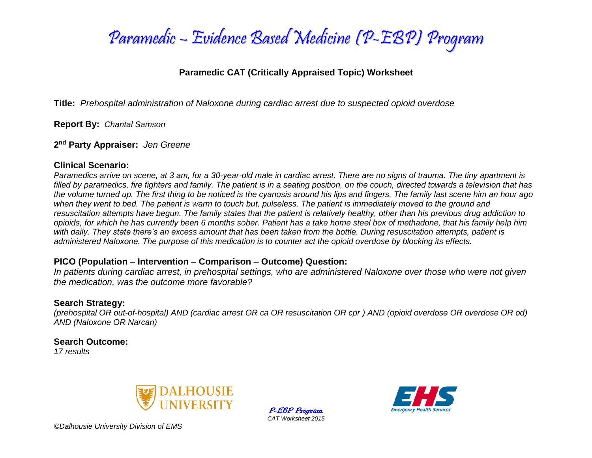

### **Paramedic CAT (Critically Appraised Topic) Worksheet**

**Title:** *Prehospital administration of Naloxone during cardiac arrest due to suspected opioid overdose*

**Report By:** *Chantal Samson*

**2 nd Party Appraiser:** *Jen Greene*

### **Clinical Scenario:**

*Paramedics arrive on scene, at 3 am, for a 30-year-old male in cardiac arrest. There are no signs of trauma. The tiny apartment is filled by paramedics, fire fighters and family. The patient is in a seating position, on the couch, directed towards a television that has the volume turned up. The first thing to be noticed is the cyanosis around his lips and fingers. The family last scene him an hour ago*  when they went to bed. The patient is warm to touch but, pulseless. The patient is immediately moved to the ground and *resuscitation attempts have begun. The family states that the patient is relatively healthy, other than his previous drug addiction to opioids, for which he has currently been 6 months sober. Patient has a take home steel box of methadone, that his family help him with daily. They state there's an excess amount that has been taken from the bottle. During resuscitation attempts, patient is administered Naloxone. The purpose of this medication is to counter act the opioid overdose by blocking its effects.*

### **PICO (Population – Intervention – Comparison – Outcome) Question:**

*In patients during cardiac arrest, in prehospital settings, who are administered Naloxone over those who were not given the medication, was the outcome more favorable?* 

### **Search Strategy:**

*(prehospital OR out-of-hospital) AND (cardiac arrest OR ca OR resuscitation OR cpr ) AND (opioid overdose OR overdose OR od) AND (Naloxone OR Narcan)*

### **Search Outcome:**

*17 results*



P-EBP Program *CAT Worksheet 2015*

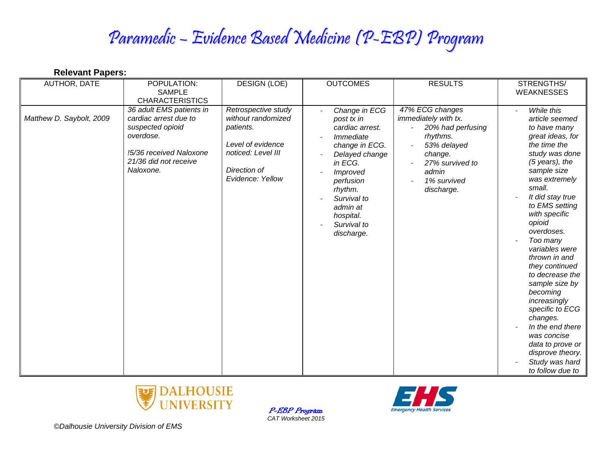| AUTHOR, DATE             | POPULATION:<br><b>SAMPLE</b><br><b>CHARACTERISTICS</b>                                                                                              | <b>DESIGN (LOE)</b>                                                                                                                   | <b>OUTCOMES</b>                                                                                                                                                                                                     | <b>RESULTS</b>                                                                                                                                              | STRENGTHS/<br><b>WEAKNESSES</b>                                                                                                                                                                                                                                                                                                                                                                                                                                                                                                            |
|--------------------------|-----------------------------------------------------------------------------------------------------------------------------------------------------|---------------------------------------------------------------------------------------------------------------------------------------|---------------------------------------------------------------------------------------------------------------------------------------------------------------------------------------------------------------------|-------------------------------------------------------------------------------------------------------------------------------------------------------------|--------------------------------------------------------------------------------------------------------------------------------------------------------------------------------------------------------------------------------------------------------------------------------------------------------------------------------------------------------------------------------------------------------------------------------------------------------------------------------------------------------------------------------------------|
| Matthew D. Saybolt, 2009 | 36 adult EMS patients in<br>cardiac arrest due to<br>suspected opioid<br>overdose.<br>!5/36 received Naloxone<br>21/36 did not receive<br>Naloxone. | Retrospective study<br>without randomized<br>patients.<br>Level of evidence<br>noticed: Level III<br>Direction of<br>Evidence: Yellow | Change in ECG<br>post tx in<br>cardiac arrest.<br>Immediate<br>change in ECG.<br>Delayed change<br>in ECG.<br>Improved<br>perfusion<br>rhythm.<br>Survival to<br>admin at<br>hospital.<br>Survival to<br>discharge. | 47% ECG changes<br>immediately with tx.<br>20% had perfusing<br>rhythms.<br>53% delayed<br>change.<br>27% survived to<br>admin<br>1% survived<br>discharge. | While this<br>article seemed<br>to have many<br>great ideas, for<br>the time the<br>study was done<br>$(5 \text{ years})$ , the<br>sample size<br>was extremely<br>small.<br>It did stay true<br>to EMS setting<br>with specific<br>opioid<br>overdoses.<br>Too many<br>variables were<br>thrown in and<br>they continued<br>to decrease the<br>sample size by<br>becoming<br>increasingly<br>specific to ECG<br>changes.<br>In the end there<br>was concise<br>data to prove or<br>disprove theory.<br>Study was hard<br>to follow due to |



P-EBP Program *CAT Worksheet 2015*



*©Dalhousie University Division of EMS*

**Relevant Papers:**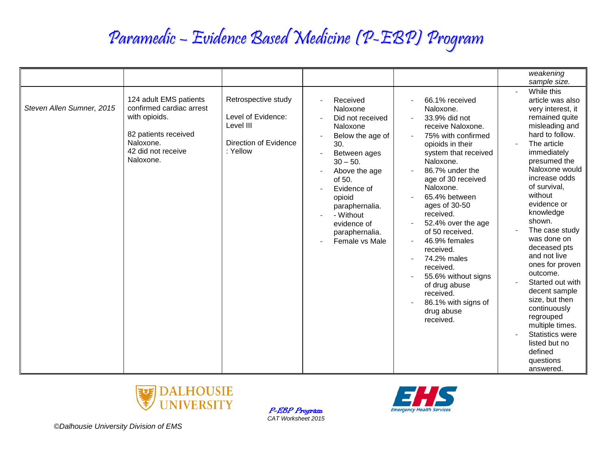|                           |                                                                                                                                             |                                                                                                    |                                                                                                                                                                                                                                                       |                                                                                                                                                                                                                                                                                                                                                                                                                                                                 | weakening                                                                                                                                                                                                                                                                                                                                                                                                                                                                                                   |
|---------------------------|---------------------------------------------------------------------------------------------------------------------------------------------|----------------------------------------------------------------------------------------------------|-------------------------------------------------------------------------------------------------------------------------------------------------------------------------------------------------------------------------------------------------------|-----------------------------------------------------------------------------------------------------------------------------------------------------------------------------------------------------------------------------------------------------------------------------------------------------------------------------------------------------------------------------------------------------------------------------------------------------------------|-------------------------------------------------------------------------------------------------------------------------------------------------------------------------------------------------------------------------------------------------------------------------------------------------------------------------------------------------------------------------------------------------------------------------------------------------------------------------------------------------------------|
|                           |                                                                                                                                             |                                                                                                    |                                                                                                                                                                                                                                                       |                                                                                                                                                                                                                                                                                                                                                                                                                                                                 | sample size.                                                                                                                                                                                                                                                                                                                                                                                                                                                                                                |
|                           |                                                                                                                                             |                                                                                                    |                                                                                                                                                                                                                                                       |                                                                                                                                                                                                                                                                                                                                                                                                                                                                 | While this                                                                                                                                                                                                                                                                                                                                                                                                                                                                                                  |
| Steven Allen Sumner, 2015 | 124 adult EMS patients<br>confirmed cardiac arrest<br>with opioids.<br>82 patients received<br>Naloxone.<br>42 did not receive<br>Naloxone. | Retrospective study<br>Level of Evidence:<br>Level III<br><b>Direction of Evidence</b><br>: Yellow | Received<br>Naloxone<br>Did not received<br>Naloxone<br>Below the age of<br>30.<br>Between ages<br>$30 - 50.$<br>Above the age<br>of $50.$<br>Evidence of<br>opioid<br>paraphernalia.<br>- Without<br>evidence of<br>paraphernalia.<br>Female vs Male | 66.1% received<br>Naloxone.<br>33.9% did not<br>receive Naloxone.<br>75% with confirmed<br>opioids in their<br>system that received<br>Naloxone.<br>86.7% under the<br>age of 30 received<br>Naloxone.<br>65.4% between<br>ages of 30-50<br>received.<br>52.4% over the age<br>of 50 received.<br>46.9% females<br>received.<br>74.2% males<br>received.<br>55.6% without signs<br>of drug abuse<br>received.<br>86.1% with signs of<br>drug abuse<br>received. | article was also<br>very interest, it<br>remained quite<br>misleading and<br>hard to follow.<br>The article<br>immediately<br>presumed the<br>Naloxone would<br>increase odds<br>of survival,<br>without<br>evidence or<br>knowledge<br>shown.<br>The case study<br>was done on<br>deceased pts<br>and not live<br>ones for proven<br>outcome.<br>Started out with<br>decent sample<br>size, but then<br>continuously<br>regrouped<br>multiple times.<br><b>Statistics were</b><br>listed but no<br>defined |



P-EBP Program *CAT Worksheet 2015*

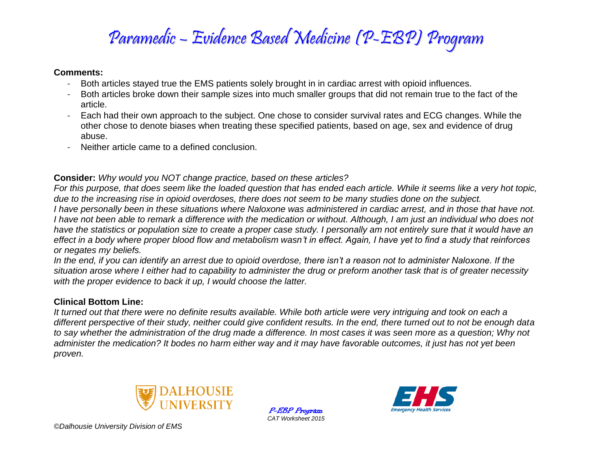### **Comments:**

- Both articles stayed true the EMS patients solely brought in in cardiac arrest with opioid influences.
- Both articles broke down their sample sizes into much smaller groups that did not remain true to the fact of the article.
- Each had their own approach to the subject. One chose to consider survival rates and ECG changes. While the other chose to denote biases when treating these specified patients, based on age, sex and evidence of drug abuse.
- Neither article came to a defined conclusion.

## **Consider:** *Why would you NOT change practice, based on these articles?*

*For this purpose, that does seem like the loaded question that has ended each article. While it seems like a very hot topic, due to the increasing rise in opioid overdoses, there does not seem to be many studies done on the subject. I have personally been in these situations where Naloxone was administered in cardiac arrest, and in those that have not. I have not been able to remark a difference with the medication or without. Although, I am just an individual who does not have the statistics or population size to create a proper case study. I personally am not entirely sure that it would have an effect in a body where proper blood flow and metabolism wasn't in effect. Again, I have yet to find a study that reinforces or negates my beliefs.* 

*In the end, if you can identify an arrest due to opioid overdose, there isn't a reason not to administer Naloxone. If the situation arose where I either had to capability to administer the drug or preform another task that is of greater necessity with the proper evidence to back it up, I would choose the latter.* 

## **Clinical Bottom Line:**

*It turned out that there were no definite results available. While both article were very intriguing and took on each a different perspective of their study, neither could give confident results. In the end, there turned out to not be enough data to say whether the administration of the drug made a difference. In most cases it was seen more as a question; Why not administer the medication? It bodes no harm either way and it may have favorable outcomes, it just has not yet been proven.* 



P-EBP Program *CAT Worksheet 2015*